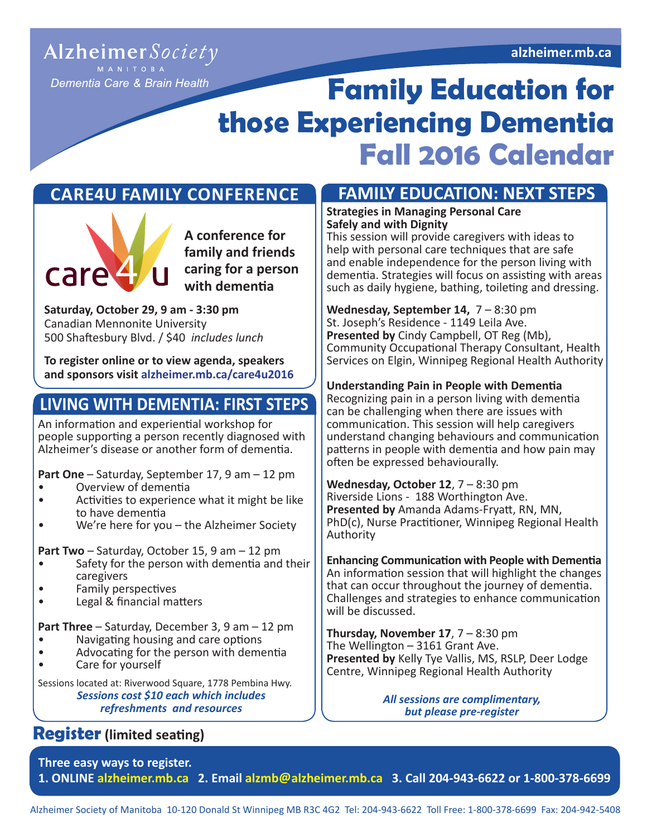#### **alzheimer.mb.ca**

### Alzheimer Society M A N I T O B A

Dementia Care & Brain Health

# **Family Education for those Experiencing Dementia Fall 2016 Calendar**

## **CARE4U FAMILY CONFERENCE**



**A conference for family and friends caring for a person with dementia**

**Saturday, October 29, 9 am - 3:30 pm**  Canadian Mennonite University 500 Shaftesbury Blvd. / \$40 *includes lunch*

**To register online or to view agenda, speakers and sponsors visit [alzheimer.mb.ca/care4u2016](http://www.alzheimer.mb.ca/care4u2014)**

# **LIVING WITH DEMENTIA: FIRST STEPS**

An information and experiential workshop for people supporting a person recently diagnosed with Alzheimer's disease or another form of dementia.

**Part One** – Saturday, September 17, 9 am – 12 pm

- Overview of dementia
- Activities to experience what it might be like to have dementia
- We're here for you the Alzheimer Society

**Part Two** – Saturday, October 15, 9 am – 12 pm

- Safety for the person with dementia and their caregivers
- Family perspectives
- Legal & financial matters

**Part Three** – Saturday, December 3, 9 am – 12 pm

- Navigating housing and care options
- Advocating for the person with dementia<br>• Care for yourself
- Care for yourself

*Sessions cost \$10 each which includes refreshments and resources* Sessions located at: Riverwood Square, 1778 Pembina Hwy.

# **Register (limited seating)**

## **FAMILY EDUCATION: NEXT STEPS**

#### **Strategies in Managing Personal Care Safely and with Dignity**

This session will provide caregivers with ideas to help with personal care techniques that are safe and enable independence for the person living with dementia. Strategies will focus on assisting with areas such as daily hygiene, bathing, toileting and dressing.

**Wednesday, September 14,** 7 – 8:30 pm St. Joseph's Residence - 1149 Leila Ave. **Presented by** Cindy Campbell, OT Reg (Mb), Community Occupational Therapy Consultant, Health Services on Elgin, Winnipeg Regional Health Authority

#### **Understanding Pain in People with Dementia**

Recognizing pain in a person living with dementia can be challenging when there are issues with communication. This session will help caregivers understand changing behaviours and communication patterns in people with dementia and how pain may often be expressed behaviourally.

**Wednesday, October 12**, 7 – 8:30 pm Riverside Lions - 188 Worthington Ave. **Presented by** Amanda Adams-Fryatt, RN, MN, PhD(c), Nurse Practitioner, Winnipeg Regional Health Authority

**Enhancing Communication with People with Dementia**  An information session that will highlight the changes that can occur throughout the journey of dementia. Challenges and strategies to enhance communication will be discussed.

**Thursday, November 17,**  $7 - 8:30$  **pm** The Wellington – 3161 Grant Ave. **Presented by** Kelly Tye Vallis, MS, RSLP, Deer Lodge Centre, Winnipeg Regional Health Authority

> *All sessions are complimentary, but please pre-register*

**Three easy ways to register. 1. ONLINE [alzheimer.mb.ca](http://www.alzheimer.mb.ca) 2. Email alzmb@[alzheimer.mb.ca](mailto:alzmb%40alzheimer.mb.ca?subject=) 3. Call 204-943-6622 or 1-800-378-6699**

Alzheimer Society of Manitoba 10-120 Donald St Winnipeg MB R3C 4G2 Tel: 204-943-6622 Toll Free: 1-800-378-6699 Fax: 204-942-5408